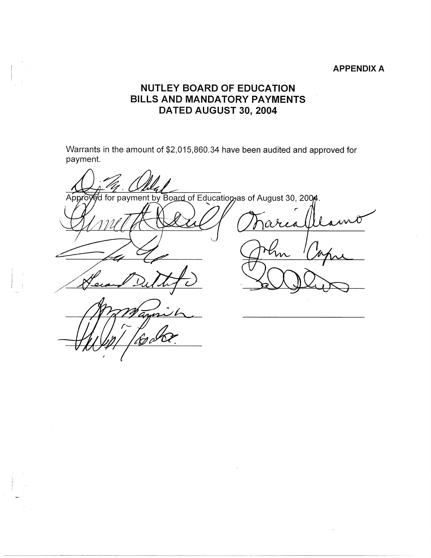## **APPENDIX A**

 $\bar{\tau}_\star$ 

## **NUTLEY BOARD OF EDUCATION BILLS AND MANDATORY PAYMENTS DATED AUGUST 30, 2004**

Warrants in the amount of \$2,015,860.34 have been audited and approved for payment.

Approved for payment by Board of Education as of August 30, 2004. arca <u> Km</u>  $\overline{\mathcal{L}}$ ann l God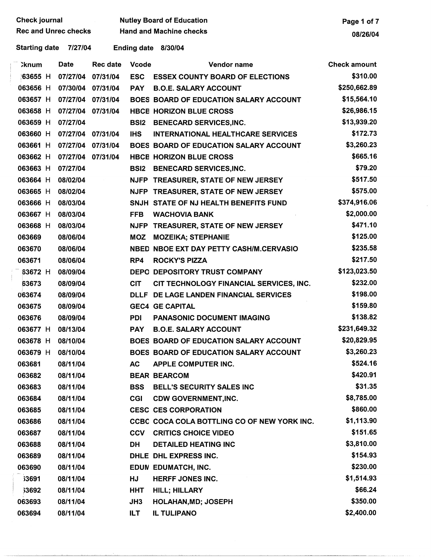| <b>Check journal</b>        | <b>Nutley Board of Education</b> | Page 1 of 7 |
|-----------------------------|----------------------------------|-------------|
| <b>Rec and Unrec checks</b> | <b>Hand and Machine checks</b>   | 08/26/04    |

Starting date 7/27/04 Ending date 8/30/04

| <b>Cknum</b> | Date              | <b>Rec date</b> | <b>Vcode</b> | Vendor name                                 | <b>Check amount</b> |
|--------------|-------------------|-----------------|--------------|---------------------------------------------|---------------------|
| 63655 H      | 07/27/04          | 07/31/04        | <b>ESC</b>   | <b>ESSEX COUNTY BOARD OF ELECTIONS</b>      | \$310.00            |
| 063656 H     | 07/30/04          | 07/31/04        | <b>PAY</b>   | <b>B.O.E. SALARY ACCOUNT</b>                | \$250,662.89        |
| 063657 H     | 07/27/04          | 07/31/04        |              | BOES BOARD OF EDUCATION SALARY ACCOUNT      | \$15,564.10         |
| 063658 H     | 07/27/04          | 07/31/04        |              | <b>HBCE HORIZON BLUE CROSS</b>              | \$26,986.15         |
| 063659 H     | 07/27/04          |                 | <b>BSI2</b>  | <b>BENECARD SERVICES, INC.</b>              | \$13,939.20         |
| 063660 H     | 07/27/04          | 07/31/04        | <b>IHS</b>   | <b>INTERNATIONAL HEALTHCARE SERVICES</b>    | \$172.73            |
| 063661 H     | 07/27/04 07/31/04 |                 |              | BOES BOARD OF EDUCATION SALARY ACCOUNT      | \$3,260.23          |
| 063662 H     | 07/27/04          | 07/31/04        |              | <b>HBCE HORIZON BLUE CROSS</b>              | \$665.16            |
| 063663 H     | 07/27/04          |                 | <b>BSI2</b>  | <b>BENECARD SERVICES, INC.</b>              | \$79.20             |
| 063664 H     | 08/02/04          |                 |              | NJFP TREASURER, STATE OF NEW JERSEY         | \$517.50            |
| 063665 H     | 08/02/04          |                 | <b>NJFP</b>  | <b>TREASURER, STATE OF NEW JERSEY</b>       | \$575.00            |
| 063666 H     | 08/03/04          |                 |              | SNJH STATE OF NJ HEALTH BENEFITS FUND       | \$374,916.06        |
| 063667 H     | 08/03/04          |                 | <b>FFB</b>   | <b>WACHOVIA BANK</b>                        | \$2,000.00          |
| 063668 H     | 08/03/04          |                 |              | NJFP TREASURER, STATE OF NEW JERSEY         | \$471.10            |
| 063669       | 08/06/04          |                 | <b>MOZ</b>   | <b>MOZEIKA; STEPHANIE</b>                   | \$125.00            |
| 063670       | 08/06/04          |                 |              | NBED NBOE EXT DAY PETTY CASH/M.CERVASIO     | \$235.58            |
| 063671       | 08/06/04          |                 | RP4          | <b>ROCKY'S PIZZA</b>                        | \$217.50            |
| 63672 H      | 08/09/04          |                 |              | DEPO DEPOSITORY TRUST COMPANY               | \$123,023.50        |
| 63673        | 08/09/04          |                 | <b>CIT</b>   | CIT TECHNOLOGY FINANCIAL SERVICES, INC.     | \$232.00            |
| 063674       | 08/09/04          |                 |              | DLLF DE LAGE LANDEN FINANCIAL SERVICES      | \$198.00            |
| 063675       | 08/09/04          |                 |              | <b>GEC4 GE CAPITAL</b>                      | \$159.80            |
| 063676       | 08/09/04          |                 | <b>PDI</b>   | <b>PANASONIC DOCUMENT IMAGING</b>           | \$138.82            |
| 063677 H     | 08/13/04          |                 | <b>PAY</b>   | <b>B.O.E. SALARY ACCOUNT</b>                | \$231,649.32        |
| 063678 H     | 08/10/04          |                 |              | BOES BOARD OF EDUCATION SALARY ACCOUNT      | \$20,829.95         |
| 063679 H     | 08/10/04          |                 |              | BOES BOARD OF EDUCATION SALARY ACCOUNT      | \$3,260.23          |
| 063681       | 08/11/04          |                 | <b>AC</b>    | <b>APPLE COMPUTER INC.</b>                  | \$524.16            |
| 063682       | 08/11/04          |                 |              | <b>BEAR BEARCOM</b>                         | \$420.91            |
| 063683       | 08/11/04          |                 | <b>BSS</b>   | BELL'S SECURITY SALES INC                   | \$31.35             |
| 063684       | 08/11/04          |                 | CGI          | <b>CDW GOVERNMENT, INC.</b>                 | \$8,785.00          |
| 063685       | 08/11/04          |                 |              | <b>CESC CES CORPORATION</b>                 | \$860.00            |
| 063686       | 08/11/04          |                 |              | CCBC COCA COLA BOTTLING CO OF NEW YORK INC. | \$1,113.90          |
| 063687       | 08/11/04          |                 | <b>CCV</b>   | <b>CRITICS CHOICE VIDEO</b>                 | \$151.65            |
| 063688       | 08/11/04          |                 | <b>DH</b>    | <b>DETAILED HEATING INC</b>                 | \$3,810.00          |
| 063689       | 08/11/04          |                 |              | DHLE DHL EXPRESS INC.                       | \$154.93            |
| 063690       | 08/11/04          |                 |              | EDUN EDUMATCH, INC.                         | \$230.00            |
| <b>3691</b>  | 08/11/04          |                 | HJ           | HERFF JONES INC.                            | \$1,514.93          |
| <b>3692</b>  | 08/11/04          |                 | <b>HHT</b>   | <b>HILL; HILLARY</b>                        | \$66.24             |
| 063693       | 08/11/04          |                 | JH3          | <b>HOLAHAN, MD; JOSEPH</b>                  | \$350.00            |
| 063694       | 08/11/04          |                 | ILT.         | IL TULIPANO                                 | \$2,400.00          |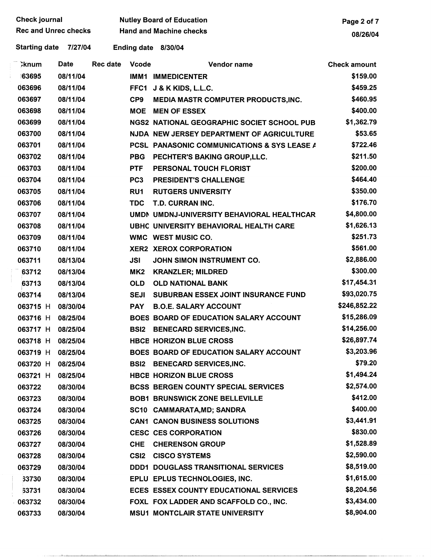| <b>Check journal</b>        |                                 | <b>Nutley Board of Education</b>                  | Page 2 of 7         |
|-----------------------------|---------------------------------|---------------------------------------------------|---------------------|
| <b>Rec and Unrec checks</b> |                                 | <b>Hand and Machine checks</b>                    | 08/26/04            |
| Starting date 7/27/04       | Ending date 8/30/04             |                                                   |                     |
| <b>Date</b><br>`}knum       | <b>Rec date</b><br><b>Vcode</b> | Vendor name                                       | <b>Check amount</b> |
| 63695<br>08/11/04           | IMM1                            | <b>IMMEDICENTER</b>                               | \$159.00            |
| 063696<br>08/11/04          | FFC1                            | J & K KIDS, L.L.C.                                | \$459.25            |
| 063697<br>08/11/04          | CP <sub>9</sub>                 | MEDIA MASTR COMPUTER PRODUCTS, INC.               | \$460.95            |
| 063698<br>08/11/04          | <b>MOE</b>                      | <b>MEN OF ESSEX</b>                               | \$400.00            |
| 063699<br>08/11/04          |                                 | <b>NGS2 NATIONAL GEOGRAPHIC SOCIET SCHOOL PUB</b> | \$1,362.79          |
| 063700<br>08/11/04          |                                 | NJDA NEW JERSEY DEPARTMENT OF AGRICULTURE         | \$53.65             |
| 063701<br>08/11/04          |                                 | PCSL PANASONIC COMMUNICATIONS & SYS LEASE A       | \$722.46            |
| 063702<br>08/11/04          | <b>PBG</b>                      | PECHTER'S BAKING GROUP,LLC.                       | \$211.50            |
| 063703<br>08/11/04          | <b>PTF</b>                      | <b>PERSONAL TOUCH FLORIST</b>                     | \$200.00            |
| 063704<br>08/11/04          | PC <sub>3</sub>                 | <b>PRESIDENT'S CHALLENGE</b>                      | \$464.40            |
| 063705<br>08/11/04          | RU1                             | <b>RUTGERS UNIVERSITY</b>                         | \$350.00            |
| 063706<br>08/11/04          | <b>TDC</b>                      | T.D. CURRAN INC.                                  | \$176.70            |
| 063707<br>08/11/04          |                                 | UMDN UMDNJ-UNIVERSITY BEHAVIORAL HEALTHCAR        | \$4,800.00          |
| 08/11/04<br>063708          |                                 | <b>UBHC UNIVERSITY BEHAVIORAL HEALTH CARE</b>     | \$1,626.13          |
| 063709<br>08/11/04          |                                 | WMC WEST MUSIC CO.                                | \$251.73            |
| 063710<br>08/11/04          |                                 | XER2 XEROX CORPORATION                            | \$561.00            |
| 08/13/04<br>063711          | <b>JSI</b>                      | JOHN SIMON INSTRUMENT CO.                         | \$2,886.00          |
| 08/13/04<br>63712           | MK <sub>2</sub>                 | <b>KRANZLER; MILDRED</b>                          | \$300.00            |
| 08/13/04<br>63713           | <b>OLD</b>                      | <b>OLD NATIONAL BANK</b>                          | \$17,454.31         |
| 063714<br>08/13/04          | <b>SEJI</b>                     | SUBURBAN ESSEX JOINT INSURANCE FUND               | \$93,020.75         |
| 063715 H<br>08/30/04        | <b>PAY</b>                      | <b>B.O.E. SALARY ACCOUNT</b>                      | \$246,852.22        |
| 063716 H<br>08/25/04        |                                 | BOES BOARD OF EDUCATION SALARY ACCOUNT            | \$15,286.09         |
| 063717 H<br>08/25/04        | <b>BSI2</b>                     | <b>BENECARD SERVICES, INC.</b>                    | \$14,256.00         |
| 063718 H<br>08/25/04        |                                 | <b>HBCE HORIZON BLUE CROSS</b>                    | \$26,897.74         |
| 063719 H<br>08/25/04        |                                 | BOES BOARD OF EDUCATION SALARY ACCOUNT            | \$3,203.96          |
| 063720 H<br>08/25/04        | <b>BSI2</b>                     | <b>BENECARD SERVICES, INC.</b>                    | \$79.20             |
| 063721 H<br>08/25/04        |                                 | <b>HBCE HORIZON BLUE CROSS</b>                    | \$1,494.24          |
| 063722<br>08/30/04          |                                 | <b>BCSS BERGEN COUNTY SPECIAL SERVICES</b>        | \$2,574.00          |
| 08/30/04<br>063723          |                                 | <b>BOB1 BRUNSWICK ZONE BELLEVILLE</b>             | \$412.00            |
| 08/30/04<br>063724          |                                 | SC10 CAMMARATA, MD; SANDRA                        | \$400.00            |
| 08/30/04<br>063725          |                                 | <b>CAN1 CANON BUSINESS SOLUTIONS</b>              | \$3,441.91          |
| 08/30/04<br>063726          |                                 | <b>CESC CES CORPORATION</b>                       | \$830.00            |
| 08/30/04<br>063727          | <b>CHE</b>                      | <b>CHERENSON GROUP</b>                            | \$1,528.89          |
| 063728<br>08/30/04          | CS <sub>I2</sub>                | <b>CISCO SYSTEMS</b>                              | \$2,590.00          |
| 08/30/04<br>063729          |                                 | <b>DDD1 DOUGLASS TRANSITIONAL SERVICES</b>        | \$8,519.00          |
| 63730<br>08/30/04           |                                 | EPLU EPLUS TECHNOLOGIES, INC.                     | \$1,615.00          |
| 08/30/04<br>63731           |                                 | <b>ECES ESSEX COUNTY EDUCATIONAL SERVICES</b>     | \$8,204.56          |
| 063732<br>08/30/04          |                                 | FOXL FOX LADDER AND SCAFFOLD CO., INC.            | \$3,434.00          |
| 08/30/04<br>063733          |                                 | <b>MSU1 MONTCLAIR STATE UNIVERSITY</b>            | \$8,904.00          |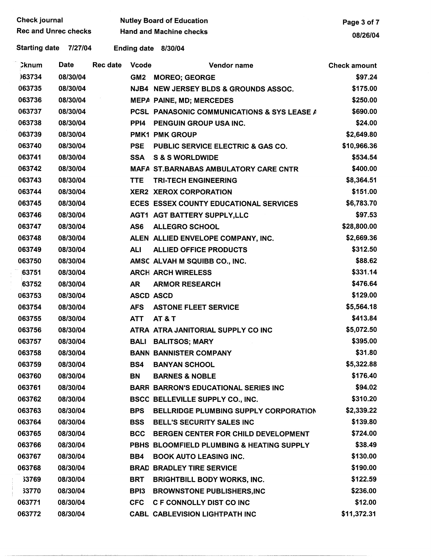| <b>Check journal</b>                                   |          |                 | <b>Nutley Board of Education</b> | Page 3 of 7                                            |                     |
|--------------------------------------------------------|----------|-----------------|----------------------------------|--------------------------------------------------------|---------------------|
| <b>Rec and Unrec checks</b>                            |          |                 | <b>Hand and Machine checks</b>   |                                                        | 08/26/04            |
| <b>Starting date</b><br>7/27/04<br>Ending date 8/30/04 |          |                 |                                  |                                                        |                     |
| ้วิknum                                                | Date     | <b>Rec date</b> | <b>Vcode</b>                     | Vendor name                                            | <b>Check amount</b> |
| 163734                                                 | 08/30/04 |                 | GM <sub>2</sub>                  | <b>MOREO; GEORGE</b>                                   | \$97.24             |
| 063735                                                 | 08/30/04 |                 |                                  | NJB4 NEW JERSEY BLDS & GROUNDS ASSOC.                  | \$175.00            |
| 063736                                                 | 08/30/04 |                 |                                  | <b>MEPA PAINE, MD; MERCEDES</b>                        | \$250.00            |
| 063737                                                 | 08/30/04 |                 |                                  | <b>PCSL PANASONIC COMMUNICATIONS &amp; SYS LEASE A</b> | \$690.00            |
| 063738                                                 | 08/30/04 |                 | PP <sub>14</sub>                 | PENGUIN GROUP USA INC.                                 | \$24.00             |
| 063739                                                 | 08/30/04 |                 |                                  | <b>PMK1 PMK GROUP</b>                                  | \$2,649.80          |
| 063740                                                 | 08/30/04 |                 | <b>PSE</b>                       | <b>PUBLIC SERVICE ELECTRIC &amp; GAS CO.</b>           | \$10,966.36         |
| 063741                                                 | 08/30/04 |                 | <b>SSA</b>                       | <b>S &amp; S WORLDWIDE</b>                             | \$534.54            |
| 063742                                                 | 08/30/04 |                 |                                  | MAFA ST.BARNABAS AMBULATORY CARE CNTR                  | \$400.00            |
| 063743                                                 | 08/30/04 |                 | <b>TTE</b>                       | <b>TRI-TECH ENGINEERING</b>                            | \$8,364.51          |
| 063744                                                 | 08/30/04 |                 |                                  | <b>XER2 XEROX CORPORATION</b>                          | \$151.00            |
| 063745                                                 | 08/30/04 |                 |                                  | <b>ECES ESSEX COUNTY EDUCATIONAL SERVICES</b>          | \$6,783.70          |
| 063746                                                 | 08/30/04 |                 |                                  | <b>AGT1 AGT BATTERY SUPPLY,LLC</b>                     | \$97.53             |
| 063747                                                 | 08/30/04 |                 | AS6                              | <b>ALLEGRO SCHOOL</b>                                  | \$28,800.00         |
| 063748                                                 | 08/30/04 |                 |                                  | ALEN ALLIED ENVELOPE COMPANY, INC.                     | \$2,669.36          |
| 063749                                                 | 08/30/04 |                 | <b>ALI</b>                       | <b>ALLIED OFFICE PRODUCTS</b>                          | \$312.50            |
| 063750                                                 | 08/30/04 |                 |                                  | AMSC ALVAH M SQUIBB CO., INC.                          | \$88.62             |
| 63751                                                  | 08/30/04 |                 |                                  | <b>ARCH ARCH WIRELESS</b>                              | \$331.14            |
| 63752                                                  | 08/30/04 |                 | AR.                              | <b>ARMOR RESEARCH</b>                                  | \$476.64            |
| 063753                                                 | 08/30/04 |                 |                                  | <b>ASCD ASCD</b>                                       | \$129.00            |
| 063754                                                 | 08/30/04 |                 | <b>AFS</b>                       | <b>ASTONE FLEET SERVICE</b>                            | \$5,564.18          |
| 063755                                                 | 08/30/04 |                 | <b>ATT</b>                       | <b>AT &amp; T</b>                                      | \$413.84            |
| 063756                                                 | 08/30/04 |                 |                                  | ATRA ATRA JANITORIAL SUPPLY CO INC                     | \$5,072.50          |
| 063757                                                 | 08/30/04 |                 | BALI                             | <b>BALITSOS; MARY</b>                                  | \$395.00            |
| 063758                                                 | 08/30/04 |                 |                                  | <b>BANN BANNISTER COMPANY</b>                          | \$31.80             |
| 063759                                                 | 08/30/04 |                 | BS4                              | <b>BANYAN SCHOOL</b>                                   | \$5,322.88          |
| 063760                                                 | 08/30/04 |                 | BN                               | <b>BARNES &amp; NOBLE</b>                              | \$176.40            |
| 063761                                                 | 08/30/04 |                 |                                  | <b>BARR BARRON'S EDUCATIONAL SERIES INC.</b>           | \$94.02             |
| 063762                                                 | 08/30/04 |                 |                                  | <b>BSCC BELLEVILLE SUPPLY CO., INC.</b>                | \$310.20            |
| 063763                                                 | 08/30/04 |                 | <b>BPS</b>                       | <b>BELLRIDGE PLUMBING SUPPLY CORPORATION</b>           | \$2,339.22          |
| 063764                                                 | 08/30/04 |                 | <b>BSS</b>                       | <b>BELL'S SECURITY SALES INC</b>                       | \$139.80            |
| 063765                                                 | 08/30/04 |                 | <b>BCC</b>                       | BERGEN CENTER FOR CHILD DEVELOPMENT                    | \$724.00            |
| 063766                                                 | 08/30/04 |                 |                                  | PBHS BLOOMFIELD PLUMBING & HEATING SUPPLY              | \$38.49             |
| 063767                                                 | 08/30/04 |                 | BB4                              | <b>BOOK AUTO LEASING INC.</b>                          | \$130.00            |
| 063768                                                 | 08/30/04 |                 |                                  | <b>BRAD BRADLEY TIRE SERVICE</b>                       | \$190.00            |
| 33769                                                  | 08/30/04 |                 | BRT                              | <b>BRIGHTBILL BODY WORKS, INC.</b>                     | \$122.59            |
| 33770                                                  | 08/30/04 |                 | BP <sub>13</sub>                 | <b>BROWNSTONE PUBLISHERS, INC</b>                      | \$236.00            |
| 063771                                                 | 08/30/04 |                 | <b>CFC</b>                       | C F CONNOLLY DIST CO INC                               | \$12.00             |
| 063772                                                 | 08/30/04 |                 |                                  | <b>CABL CABLEVISION LIGHTPATH INC</b>                  | \$11,372.31         |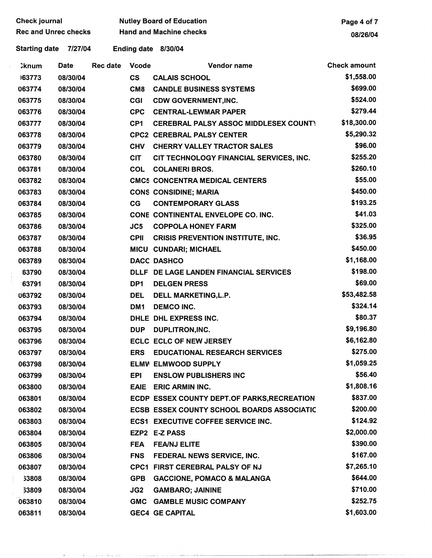|   | <b>Check journal</b>        |             |                 |                        | <b>Nutley Board of Education</b>                  | Page 4 of 7         |
|---|-----------------------------|-------------|-----------------|------------------------|---------------------------------------------------|---------------------|
|   | <b>Rec and Unrec checks</b> |             |                 |                        | <b>Hand and Machine checks</b>                    | 08/26/04            |
|   | <b>Starting date</b>        | 7/27/04     |                 |                        | Ending date 8/30/04                               |                     |
| ÷ | <b>Cknum</b>                | <b>Date</b> | <b>Rec date</b> | <b>Vcode</b>           | Vendor name                                       | <b>Check amount</b> |
|   | 163773                      | 08/30/04    |                 | $\mathbf{c}\mathbf{s}$ | <b>CALAIS SCHOOL</b>                              | \$1,558.00          |
|   | 063774                      | 08/30/04    |                 | CM <sub>8</sub>        | <b>CANDLE BUSINESS SYSTEMS</b>                    | \$699.00            |
|   | 063775                      | 08/30/04    |                 | <b>CGI</b>             | <b>CDW GOVERNMENT, INC.</b>                       | \$524.00            |
|   | 063776                      | 08/30/04    |                 | <b>CPC</b>             | <b>CENTRAL-LEWMAR PAPER</b>                       | \$279.44            |
|   | 063777                      | 08/30/04    |                 | CP <sub>1</sub>        | <b>CEREBRAL PALSY ASSOC MIDDLESEX COUNT)</b>      | \$18,300.00         |
|   | 063778                      | 08/30/04    |                 |                        | <b>CPC2 CEREBRAL PALSY CENTER</b>                 | \$5,290.32          |
|   | 063779                      | 08/30/04    |                 | <b>CHV</b>             | <b>CHERRY VALLEY TRACTOR SALES</b>                | \$96.00             |
|   | 063780                      | 08/30/04    |                 | <b>CIT</b>             | CIT TECHNOLOGY FINANCIAL SERVICES, INC.           | \$255.20            |
|   | 063781                      | 08/30/04    |                 | <b>COL</b>             | <b>COLANERI BROS.</b>                             | \$260.10            |
|   | 063782                      | 08/30/04    |                 |                        | <b>CMC5 CONCENTRA MEDICAL CENTERS</b>             | \$55.00             |
|   | 063783                      | 08/30/04    |                 |                        | <b>CONS CONSIDINE; MARIA</b>                      | \$450.00            |
|   | 063784                      | 08/30/04    |                 | CG                     | <b>CONTEMPORARY GLASS</b>                         | \$193.25            |
|   | 063785                      | 08/30/04    |                 |                        | CONE CONTINENTAL ENVELOPE CO. INC.                | \$41.03             |
|   | 063786                      | 08/30/04    |                 | JC5                    | <b>COPPOLA HONEY FARM</b>                         | \$325.00            |
|   | 063787                      | 08/30/04    |                 | <b>CPII</b>            | <b>CRISIS PREVENTION INSTITUTE, INC.</b>          | \$36.95             |
|   | 063788                      | 08/30/04    |                 |                        | MICU CUNDARI; MICHAEL                             | \$450.00            |
|   | 063789                      | 08/30/04    |                 |                        | <b>DACC DASHCO</b>                                | \$1,168.00          |
|   | 63790                       | 08/30/04    |                 |                        | DLLF DE LAGE LANDEN FINANCIAL SERVICES            | \$198.00            |
|   | 63791                       | 08/30/04    |                 | DP <sub>1</sub>        | <b>DELGEN PRESS</b>                               | \$69.00             |
|   | 063792                      | 08/30/04    |                 | <b>DEL</b>             | <b>DELL MARKETING, L.P.</b>                       | \$53,482.58         |
|   | 063793                      | 08/30/04    |                 | DM <sub>1</sub>        | <b>DEMCO INC.</b>                                 | \$324.14            |
|   | 063794                      | 08/30/04    |                 |                        | DHLE DHL EXPRESS INC.                             | \$80.37             |
|   | 063795                      | 08/30/04    |                 | <b>DUP</b>             | DUPLITRON, INC.                                   | \$9,196.80          |
|   | 063796                      | 08/30/04    |                 |                        | <b>ECLC ECLC OF NEW JERSEY</b>                    | \$6,162.80          |
|   | 063797                      | 08/30/04    |                 | <b>ERS</b>             | <b>EDUCATIONAL RESEARCH SERVICES</b>              | \$275.00            |
|   | 063798                      | 08/30/04    |                 |                        | <b>ELMV ELMWOOD SUPPLY</b>                        | \$1,059.25          |
|   | 063799                      | 08/30/04    |                 | <b>EPI</b>             | <b>ENSLOW PUBLISHERS INC</b>                      | \$56.40             |
|   | 063800                      | 08/30/04    |                 | EAIE                   | <b>ERIC ARMIN INC.</b>                            | \$1,808.16          |
|   | 063801                      | 08/30/04    |                 |                        | ECDP ESSEX COUNTY DEPT.OF PARKS, RECREATION       | \$837.00            |
|   | 063802                      | 08/30/04    |                 |                        | <b>ECSB ESSEX COUNTY SCHOOL BOARDS ASSOCIATIC</b> | \$200.00            |
|   | 063803                      | 08/30/04    |                 |                        | <b>ECS1 EXECUTIVE COFFEE SERVICE INC.</b>         | \$124.92            |
|   | 063804                      | 08/30/04    |                 |                        | EZP2 E-Z PASS                                     | \$2,000.00          |
|   | 063805                      | 08/30/04    |                 | <b>FEA</b>             | <b>FEA/NJ ELITE</b>                               | \$390.00            |
|   | 063806                      | 08/30/04    |                 | <b>FNS</b>             | FEDERAL NEWS SERVICE, INC.                        | \$167.00            |
|   | 063807                      | 08/30/04    |                 |                        | <b>CPC1 FIRST CEREBRAL PALSY OF NJ</b>            | \$7,265.10          |
|   | 33808                       | 08/30/04    |                 | <b>GPB</b>             | <b>GACCIONE, POMACO &amp; MALANGA</b>             | \$644.00            |
|   | 33809                       | 08/30/04    |                 | JG2                    | <b>GAMBARO; JAININE</b>                           | \$710.00            |
|   | 063810                      | 08/30/04    |                 | <b>GMC</b>             | <b>GAMBLE MUSIC COMPANY</b>                       | \$252.75            |
|   | 063811                      | 08/30/04    |                 |                        | <b>GEC4 GE CAPITAL</b>                            | \$1,603.00          |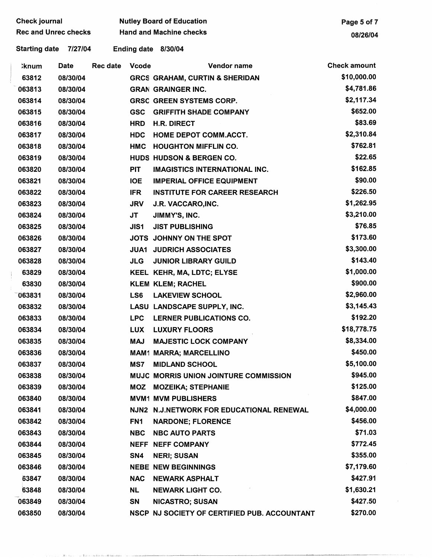| <b>Check journal</b>        |          |          |                 | <b>Nutley Board of Education</b>             | Page 5 of 7         |
|-----------------------------|----------|----------|-----------------|----------------------------------------------|---------------------|
| <b>Rec and Unrec checks</b> |          |          |                 | <b>Hand and Machine checks</b>               | 08/26/04            |
| <b>Starting date</b>        | 7/27/04  |          |                 | Ending date 8/30/04                          |                     |
| ;knum                       | Date     | Rec date | <b>Vcode</b>    | Vendor name                                  | <b>Check amount</b> |
| 63812                       | 08/30/04 |          |                 | <b>GRCS GRAHAM, CURTIN &amp; SHERIDAN</b>    | \$10,000.00         |
| 063813                      | 08/30/04 |          |                 | <b>GRAN GRAINGER INC.</b>                    | \$4,781.86          |
| 063814                      | 08/30/04 |          |                 | <b>GRSC GREEN SYSTEMS CORP.</b>              | \$2,117.34          |
| 063815                      | 08/30/04 |          | <b>GSC</b>      | <b>GRIFFITH SHADE COMPANY</b>                | \$652.00            |
| 063816                      | 08/30/04 |          | <b>HRD</b>      | <b>H.R. DIRECT</b>                           | \$83.69             |
| 063817                      | 08/30/04 |          | <b>HDC</b>      | HOME DEPOT COMM.ACCT.                        | \$2,310.84          |
| 063818                      | 08/30/04 |          | <b>HMC</b>      | <b>HOUGHTON MIFFLIN CO.</b>                  | \$762.81            |
| 063819                      | 08/30/04 |          |                 | <b>HUDS HUDSON &amp; BERGEN CO.</b>          | \$22.65             |
| 063820                      | 08/30/04 |          | <b>PIT</b>      | <b>IMAGISTICS INTERNATIONAL INC.</b>         | \$162.85            |
| 063821                      | 08/30/04 |          | <b>IOE</b>      | <b>IMPERIAL OFFICE EQUIPMENT</b>             | \$90.00             |
| 063822                      | 08/30/04 |          | <b>IFR</b>      | <b>INSTITUTE FOR CAREER RESEARCH</b>         | \$226.50            |
| 063823                      | 08/30/04 |          | <b>JRV</b>      | J.R. VACCARO, INC.                           | \$1,262.95          |
| 063824                      | 08/30/04 |          | JT              | JIMMY'S, INC.                                | \$3,210.00          |
| 063825                      | 08/30/04 |          | JIS1            | <b>JIST PUBLISHING</b>                       | \$76.85             |
| 063826                      | 08/30/04 |          |                 | JOTS JOHNNY ON THE SPOT                      | \$173.60            |
| 063827                      | 08/30/04 |          | <b>JUA1</b>     | <b>JUDRICH ASSOCIATES</b>                    | \$3,300.00          |
| 063828                      | 08/30/04 |          | <b>JLG</b>      | <b>JUNIOR LIBRARY GUILD</b>                  | \$143.40            |
| 63829                       | 08/30/04 |          |                 | KEEL KEHR, MA, LDTC; ELYSE                   | \$1,000.00          |
| 63830                       | 08/30/04 |          |                 | <b>KLEM KLEM; RACHEL</b>                     | \$900.00            |
| 063831                      | 08/30/04 |          | LS6             | <b>LAKEVIEW SCHOOL</b>                       | \$2,960.00          |
| 063832                      | 08/30/04 |          |                 | LASU LANDSCAPE SUPPLY, INC.                  | \$3,145.43          |
| 063833                      | 08/30/04 |          | <b>LPC</b>      | <b>LERNER PUBLICATIONS CO.</b>               | \$192.20            |
| 063834                      | 08/30/04 |          |                 | LUX LUXURY FLOORS                            | \$18,778.75         |
| 063835                      | 08/30/04 |          | MAJ             | <b>MAJESTIC LOCK COMPANY</b>                 | \$8,334.00          |
| 063836                      | 08/30/04 |          |                 | <b>MAM1 MARRA; MARCELLINO</b>                | \$450.00            |
| 063837                      | 08/30/04 |          | MS7             | <b>MIDLAND SCHOOL</b>                        | \$5,100.00          |
| 063838                      | 08/30/04 |          |                 | MUJC MORRIS UNION JOINTURE COMMISSION        | \$945.00            |
| 063839                      | 08/30/04 |          | MOZ             | <b>MOZEIKA; STEPHANIE</b>                    | \$125.00            |
| 063840                      | 08/30/04 |          |                 | <b>MVM1 MVM PUBLISHERS</b>                   | \$847.00            |
| 063841                      | 08/30/04 |          |                 | NJN2 N.J.NETWORK FOR EDUCATIONAL RENEWAL     | \$4,000.00          |
| 063842                      | 08/30/04 |          | FN <sub>1</sub> | <b>NARDONE; FLORENCE</b>                     | \$456.00            |
| 063843                      | 08/30/04 |          | <b>NBC</b>      | <b>NBC AUTO PARTS</b>                        | \$71.03             |
| 063844                      | 08/30/04 |          |                 | <b>NEFF NEFF COMPANY</b>                     | \$772.45            |
| 063845                      | 08/30/04 |          | SN4             | <b>NERI; SUSAN</b>                           | \$355.00            |
| 063846                      | 08/30/04 |          |                 | <b>NEBE NEW BEGINNINGS</b>                   | \$7,179.60          |
| 63847                       | 08/30/04 |          | <b>NAC</b>      | <b>NEWARK ASPHALT</b>                        | \$427.91            |
| 63848                       | 08/30/04 |          | <b>NL</b>       | <b>NEWARK LIGHT CO.</b>                      | \$1,630.21          |
| 063849                      | 08/30/04 |          | <b>SN</b>       | <b>NICASTRO; SUSAN</b>                       | \$427.50            |
| 063850                      | 08/30/04 |          |                 | NSCP NJ SOCIETY OF CERTIFIED PUB. ACCOUNTANT | \$270.00            |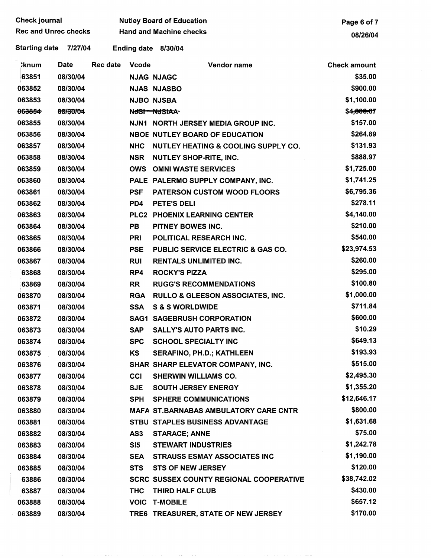| <b>Check journal</b>        |             |          |                                | <b>Nutley Board of Education</b>               | Page 6 of 7         |
|-----------------------------|-------------|----------|--------------------------------|------------------------------------------------|---------------------|
| <b>Rec and Unrec checks</b> |             |          | <b>Hand and Machine checks</b> |                                                | 08/26/04            |
| <b>Starting date</b>        | 7/27/04     |          |                                | Ending date 8/30/04                            |                     |
| <b>`knum</b>                | <b>Date</b> | Rec date | <b>Vcode</b>                   | Vendor name                                    | <b>Check amount</b> |
| 63851                       | 08/30/04    |          |                                | <b>NJAG NJAGC</b>                              | \$35.00             |
| 063852                      | 08/30/04    |          |                                | <b>NJAS NJASBO</b>                             | \$900.00            |
| 063853                      | 08/30/04    |          |                                | <b>NJBO NJSBA</b>                              | \$1,100.00          |
| 063854                      | 08/30/04    |          |                                | <b>AARCH-REN</b>                               | \$4,000.67          |
| 063855                      | 08/30/04    |          |                                | NJN1 NORTH JERSEY MEDIA GROUP INC.             | \$157.00            |
| 063856                      | 08/30/04    |          |                                | <b>NBOE NUTLEY BOARD OF EDUCATION</b>          | \$264.89            |
| 063857                      | 08/30/04    |          | <b>NHC</b>                     | <b>NUTLEY HEATING &amp; COOLING SUPPLY CO.</b> | \$131.93            |
| 063858                      | 08/30/04    |          | <b>NSR</b>                     | <b>NUTLEY SHOP-RITE, INC.</b>                  | \$888.97            |
| 063859                      | 08/30/04    |          | <b>OWS</b>                     | <b>OMNI WASTE SERVICES</b>                     | \$1,725.00          |
| 063860                      | 08/30/04    |          |                                | PALE PALERMO SUPPLY COMPANY, INC.              | \$1,741.25          |
| 063861                      | 08/30/04    |          | <b>PSF</b>                     | <b>PATERSON CUSTOM WOOD FLOORS</b>             | \$6,795.36          |
| 063862                      | 08/30/04    |          | PD4                            | PETE'S DELI                                    | \$278.11            |
| 063863                      | 08/30/04    |          |                                | PLC2 PHOENIX LEARNING CENTER                   | \$4,140.00          |
| 063864                      | 08/30/04    |          | PB                             | PITNEY BOWES INC.                              | \$210.00            |
| 063865                      | 08/30/04    |          | PRI                            | POLITICAL RESEARCH INC.                        | \$540.00            |
| 063866                      | 08/30/04    |          | <b>PSE</b>                     | PUBLIC SERVICE ELECTRIC & GAS CO.              | \$23,974.53         |
| 063867                      | 08/30/04    |          | <b>RUI</b>                     | <b>RENTALS UNLIMITED INC.</b>                  | \$260.00            |
| 63868                       | 08/30/04    |          | RP4                            | <b>ROCKY'S PIZZA</b>                           | \$295.00            |
| 63869                       | 08/30/04    |          | <b>RR</b>                      | <b>RUGG'S RECOMMENDATIONS</b>                  | \$100.80            |
| 063870                      | 08/30/04    |          | <b>RGA</b>                     | <b>RULLO &amp; GLEESON ASSOCIATES, INC.</b>    | \$1,000.00          |
| 063871                      | 08/30/04    |          | <b>SSA</b>                     | <b>S &amp; S WORLDWIDE</b>                     | \$711.84            |
| 063872                      | 08/30/04    |          |                                | <b>SAG1 SAGEBRUSH CORPORATION</b>              | \$600.00            |
| 063873                      | 08/30/04    |          | SAP                            | <b>SALLY'S AUTO PARTS INC.</b>                 | \$10.29             |
| 063874                      | 08/30/04    |          | <b>SPC</b>                     | <b>SCHOOL SPECIALTY INC</b>                    | \$649.13            |
| 063875                      | 08/30/04    |          | KS                             | <b>SERAFINO, PH.D.; KATHLEEN</b>               | \$193.93            |
| 063876                      | 08/30/04    |          |                                | SHAR SHARP ELEVATOR COMPANY, INC.              | \$515.00            |
| 063877                      | 08/30/04    |          | CCI                            | <b>SHERWIN WILLIAMS CO.</b>                    | \$2,495.30          |
| 063878                      | 08/30/04    |          | <b>SJE</b>                     | <b>SOUTH JERSEY ENERGY</b>                     | \$1,355.20          |
| 063879                      | 08/30/04    |          | <b>SPH</b>                     | <b>SPHERE COMMUNICATIONS</b>                   | \$12,646.17         |
| 063880                      | 08/30/04    |          |                                | <b>MAFA ST.BARNABAS AMBULATORY CARE CNTR</b>   | \$800.00            |
| 063881                      | 08/30/04    |          |                                | <b>STBU STAPLES BUSINESS ADVANTAGE</b>         | \$1,631.68          |
| 063882                      | 08/30/04    |          | AS3                            | <b>STARACE; ANNE</b>                           | \$75.00             |
| 063883                      | 08/30/04    |          | SI5                            | <b>STEWART INDUSTRIES</b>                      | \$1,242.78          |
| 063884                      | 08/30/04    |          | <b>SEA</b>                     | <b>STRAUSS ESMAY ASSOCIATES INC</b>            | \$1,190.00          |
| 063885                      | 08/30/04    |          | <b>STS</b>                     | <b>STS OF NEW JERSEY</b>                       | \$120.00            |
| 63886                       | 08/30/04    |          |                                | <b>SCRC SUSSEX COUNTY REGIONAL COOPERATIVE</b> | \$38,742.02         |
| 63887                       | 08/30/04    |          | <b>THC</b>                     | THIRD HALF CLUB                                | \$430.00            |
| 063888                      | 08/30/04    |          |                                | <b>VOIC T-MOBILE</b>                           | \$657.12            |
| 063889                      | 08/30/04    |          |                                | TRE6 TREASURER, STATE OF NEW JERSEY            | \$170.00            |